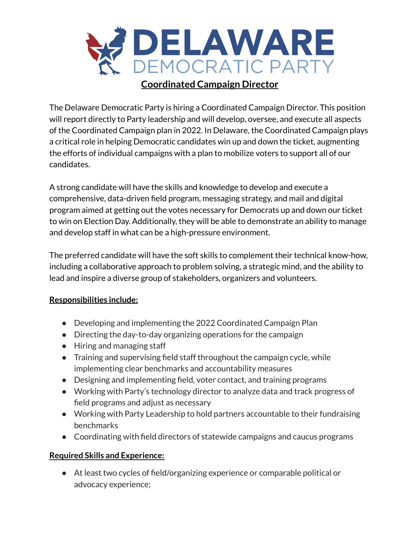

## **Coordinated Campaign Director**

The Delaware Democratic Party is hiring a Coordinated Campaign Director. This position will report directly to Party leadership and will develop, oversee, and execute all aspects of the Coordinated Campaign plan in 2022. In Delaware, the Coordinated Campaign plays a critical role in helping Democratic candidates win up and down the ticket, augmenting the efforts of individual campaigns with a plan to mobilize voters to support all of our candidates.

A strong candidate will have the skills and knowledge to develop and execute a comprehensive, data-driven field program, messaging strategy, and mail and digital program aimed at getting out the votes necessary for Democrats up and down our ticket to win on Election Day. Additionally, they will be able to demonstrate an ability to manage and develop staff in what can be a high-pressure environment.

The preferred candidate will have the soft skills to complement their technical know-how, including a collaborative approach to problem solving, a strategic mind, and the ability to lead and inspire a diverse group of stakeholders, organizers and volunteers.

## **Responsibilities include:**

- Developing and implementing the 2022 Coordinated Campaign Plan
- Directing the day-to-day organizing operations for the campaign
- Hiring and managing staff
- Training and supervising field staff throughout the campaign cycle, while implementing clear benchmarks and accountability measures
- Designing and implementing field, voter contact, and training programs
- Working with Party's technology director to analyze data and track progress of field programs and adjust as necessary
- Working with Party Leadership to hold partners accountable to their fundraising benchmarks
- Coordinating with field directors of statewide campaigns and caucus programs

## **Required Skills and Experience:**

● At least two cycles of field/organizing experience or comparable political or advocacy experience;